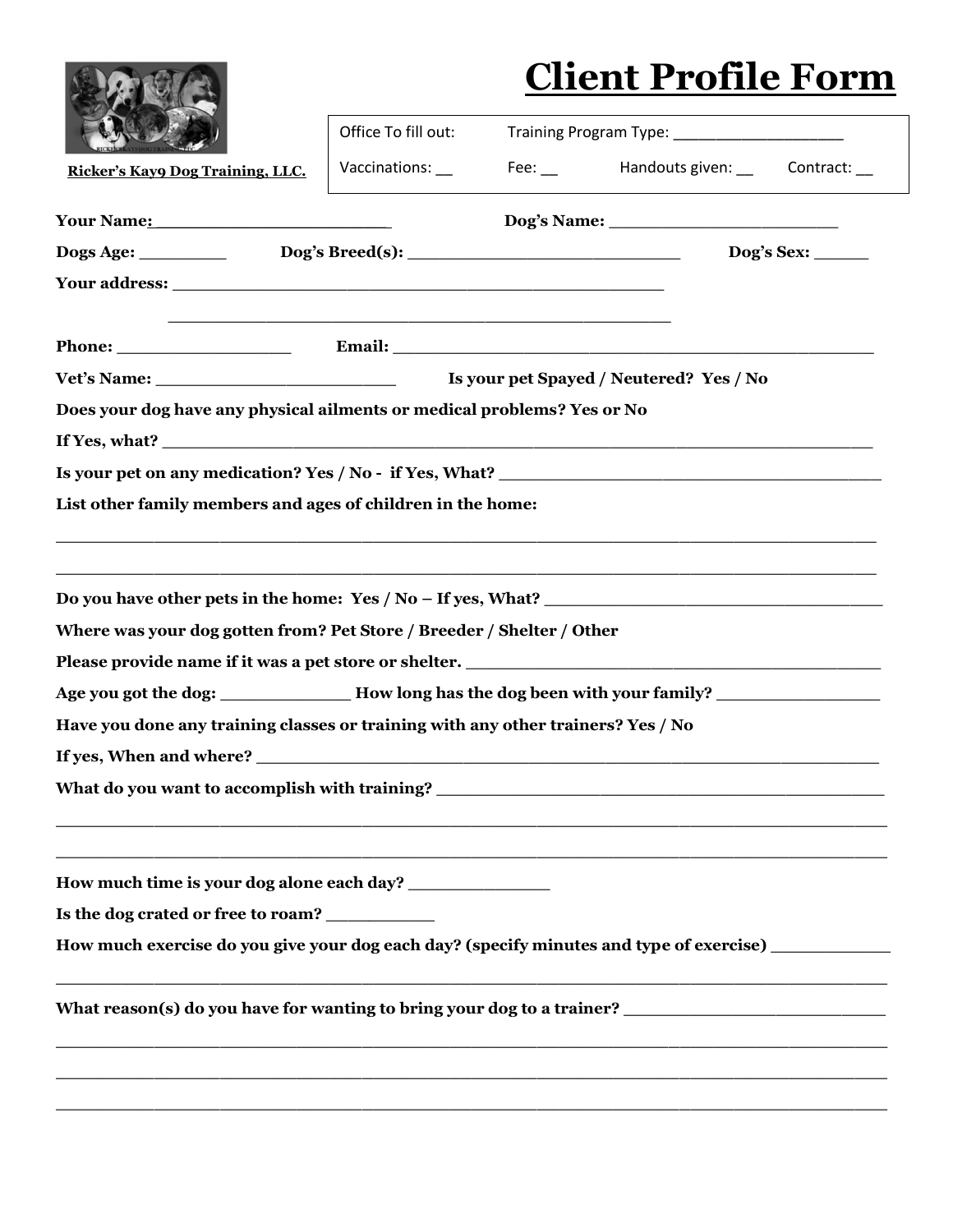|                                                                                                                                                                                                                                                                                                                                                                                                                                                   | <b>Client Profile Form</b>                                                                                       |  |                                               |  |  |
|---------------------------------------------------------------------------------------------------------------------------------------------------------------------------------------------------------------------------------------------------------------------------------------------------------------------------------------------------------------------------------------------------------------------------------------------------|------------------------------------------------------------------------------------------------------------------|--|-----------------------------------------------|--|--|
|                                                                                                                                                                                                                                                                                                                                                                                                                                                   | Office To fill out:                                                                                              |  | Training Program Type: ______________________ |  |  |
| Ricker's Kayo Dog Training, LLC.                                                                                                                                                                                                                                                                                                                                                                                                                  | Vaccinations: __                                                                                                 |  | Fee: Handouts given: Contract:                |  |  |
| Your Name: Manual Property New Your Name:                                                                                                                                                                                                                                                                                                                                                                                                         |                                                                                                                  |  |                                               |  |  |
| Dogs Age: $\qquad \qquad$ Dog's Breed(s): $\qquad \qquad$ Dog's Sex: $\qquad \qquad$ Dog's Sex:                                                                                                                                                                                                                                                                                                                                                   |                                                                                                                  |  |                                               |  |  |
|                                                                                                                                                                                                                                                                                                                                                                                                                                                   |                                                                                                                  |  |                                               |  |  |
|                                                                                                                                                                                                                                                                                                                                                                                                                                                   | and the control of the control of the control of the control of the control of the control of the control of the |  |                                               |  |  |
|                                                                                                                                                                                                                                                                                                                                                                                                                                                   |                                                                                                                  |  |                                               |  |  |
| Does your dog have any physical ailments or medical problems? Yes or No                                                                                                                                                                                                                                                                                                                                                                           |                                                                                                                  |  |                                               |  |  |
|                                                                                                                                                                                                                                                                                                                                                                                                                                                   |                                                                                                                  |  |                                               |  |  |
|                                                                                                                                                                                                                                                                                                                                                                                                                                                   |                                                                                                                  |  |                                               |  |  |
| List other family members and ages of children in the home:                                                                                                                                                                                                                                                                                                                                                                                       |                                                                                                                  |  |                                               |  |  |
| Do you have other pets in the home: Yes / No – If yes, What?<br>Where was your dog gotten from? Pet Store / Breeder / Shelter / Other<br>Age you got the dog: __________________ How long has the dog been with your family? ________________<br>Have you done any training classes or training with any other trainers? Yes / No<br>If yes, When and where?<br>What do you want to accomplish with training? ___________________________________ |                                                                                                                  |  |                                               |  |  |
| Is the dog crated or free to roam?<br>How much exercise do you give your dog each day? (specify minutes and type of exercise) ___________                                                                                                                                                                                                                                                                                                         |                                                                                                                  |  |                                               |  |  |
| What reason(s) do you have for wanting to bring your dog to a trainer? _____________________________                                                                                                                                                                                                                                                                                                                                              |                                                                                                                  |  |                                               |  |  |
|                                                                                                                                                                                                                                                                                                                                                                                                                                                   |                                                                                                                  |  |                                               |  |  |